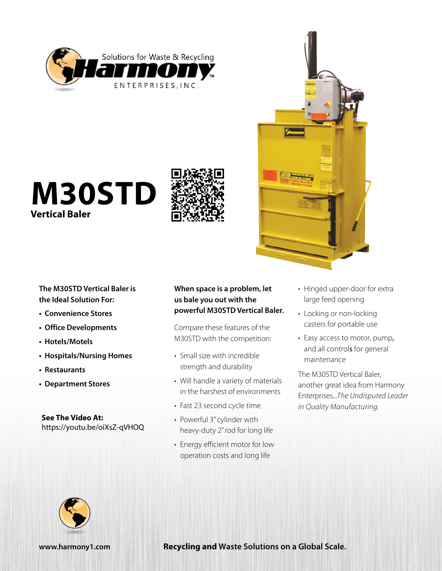







**The M30STD Vertical Baler is the Ideal Solution For:**

- **• Convenience Stores**
- **• Office Developments**
- **• Hotels/Motels**
- **• Hospitals/Nursing Homes**
- **• Restaurants**
- **• Department Stores**

**See The Video At:** <https://youtu.be/oiXsZ-qVHOQ>

## **When space is a problem, let us bale you out with the powerful M30STD Vertical Baler.**

Compare these features of the M30STD with the competition:

- Small size with incredible strength and durability
- Will handle a variety of materials in the harshest of environments
- Fast 23 second cycle time
- Powerful 3" cylinder with heavy-duty 2" rod for long life
- Energy efficient motor for low operation costs and long life
- Hinged upper-door for extra large feed opening
- Locking or non-locking casters for portable use
- Easy access to motor, pump, and all controls for general maintenance

The M30STD Vertical Baler, another great idea from Harmony Enterprises...*The Undisputed Leader in Quality Manufacturing.*



**[www.harmony1.com](http://www.harmony1.com) Recycling and Waste Solutions on a Global Scale.**